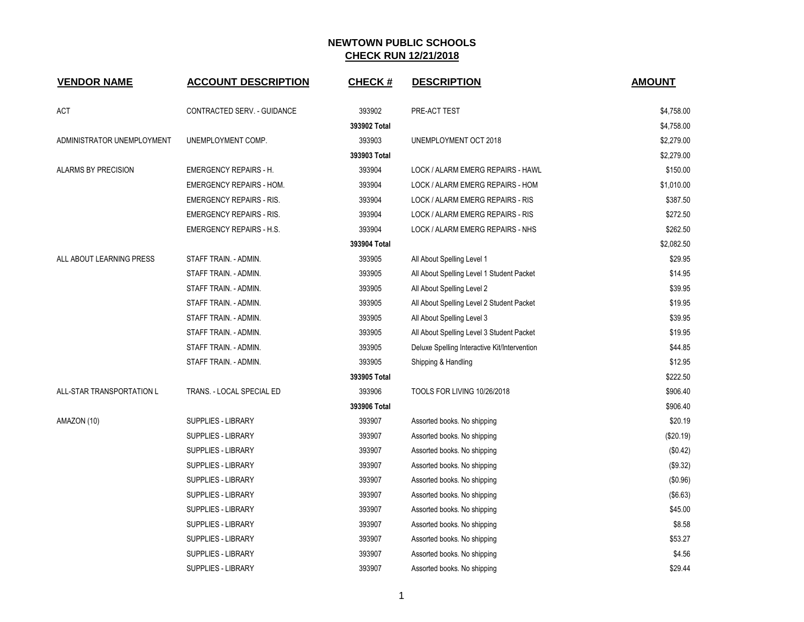| <b>VENDOR NAME</b>         | <b>ACCOUNT DESCRIPTION</b>      | <b>CHECK#</b> | <b>DESCRIPTION</b>                           | <b>AMOUNT</b> |
|----------------------------|---------------------------------|---------------|----------------------------------------------|---------------|
| ACT                        | CONTRACTED SERV. - GUIDANCE     | 393902        | PRE-ACT TEST                                 | \$4,758.00    |
|                            |                                 | 393902 Total  |                                              | \$4,758.00    |
| ADMINISTRATOR UNEMPLOYMENT | UNEMPLOYMENT COMP.              | 393903        | UNEMPLOYMENT OCT 2018                        | \$2,279.00    |
|                            |                                 | 393903 Total  |                                              | \$2,279.00    |
| ALARMS BY PRECISION        | <b>EMERGENCY REPAIRS - H.</b>   | 393904        | LOCK / ALARM EMERG REPAIRS - HAWL            | \$150.00      |
|                            | <b>EMERGENCY REPAIRS - HOM.</b> | 393904        | LOCK / ALARM EMERG REPAIRS - HOM             | \$1,010.00    |
|                            | <b>EMERGENCY REPAIRS - RIS.</b> | 393904        | LOCK / ALARM EMERG REPAIRS - RIS             | \$387.50      |
|                            | <b>EMERGENCY REPAIRS - RIS.</b> | 393904        | LOCK / ALARM EMERG REPAIRS - RIS             | \$272.50      |
|                            | <b>EMERGENCY REPAIRS - H.S.</b> | 393904        | LOCK / ALARM EMERG REPAIRS - NHS             | \$262.50      |
|                            |                                 | 393904 Total  |                                              | \$2,082.50    |
| ALL ABOUT LEARNING PRESS   | STAFF TRAIN. - ADMIN.           | 393905        | All About Spelling Level 1                   | \$29.95       |
|                            | STAFF TRAIN. - ADMIN.           | 393905        | All About Spelling Level 1 Student Packet    | \$14.95       |
|                            | STAFF TRAIN. - ADMIN.           | 393905        | All About Spelling Level 2                   | \$39.95       |
|                            | STAFF TRAIN. - ADMIN.           | 393905        | All About Spelling Level 2 Student Packet    | \$19.95       |
|                            | STAFF TRAIN. - ADMIN.           | 393905        | All About Spelling Level 3                   | \$39.95       |
|                            | STAFF TRAIN. - ADMIN.           | 393905        | All About Spelling Level 3 Student Packet    | \$19.95       |
|                            | STAFF TRAIN. - ADMIN.           | 393905        | Deluxe Spelling Interactive Kit/Intervention | \$44.85       |
|                            | STAFF TRAIN. - ADMIN.           | 393905        | Shipping & Handling                          | \$12.95       |
|                            |                                 | 393905 Total  |                                              | \$222.50      |
| ALL-STAR TRANSPORTATION L  | TRANS. - LOCAL SPECIAL ED       | 393906        | TOOLS FOR LIVING 10/26/2018                  | \$906.40      |
|                            |                                 | 393906 Total  |                                              | \$906.40      |
| AMAZON (10)                | <b>SUPPLIES - LIBRARY</b>       | 393907        | Assorted books. No shipping                  | \$20.19       |
|                            | SUPPLIES - LIBRARY              | 393907        | Assorted books. No shipping                  | (\$20.19)     |
|                            | <b>SUPPLIES - LIBRARY</b>       | 393907        | Assorted books. No shipping                  | (\$0.42)      |
|                            | SUPPLIES - LIBRARY              | 393907        | Assorted books. No shipping                  | (\$9.32)      |
|                            | SUPPLIES - LIBRARY              | 393907        | Assorted books. No shipping                  | (\$0.96)      |
|                            | SUPPLIES - LIBRARY              | 393907        | Assorted books. No shipping                  | (\$6.63)      |
|                            | <b>SUPPLIES - LIBRARY</b>       | 393907        | Assorted books. No shipping                  | \$45.00       |
|                            | <b>SUPPLIES - LIBRARY</b>       | 393907        | Assorted books. No shipping                  | \$8.58        |
|                            | SUPPLIES - LIBRARY              | 393907        | Assorted books. No shipping                  | \$53.27       |
|                            | <b>SUPPLIES - LIBRARY</b>       | 393907        | Assorted books. No shipping                  | \$4.56        |
|                            | <b>SUPPLIES - LIBRARY</b>       | 393907        | Assorted books. No shipping                  | \$29.44       |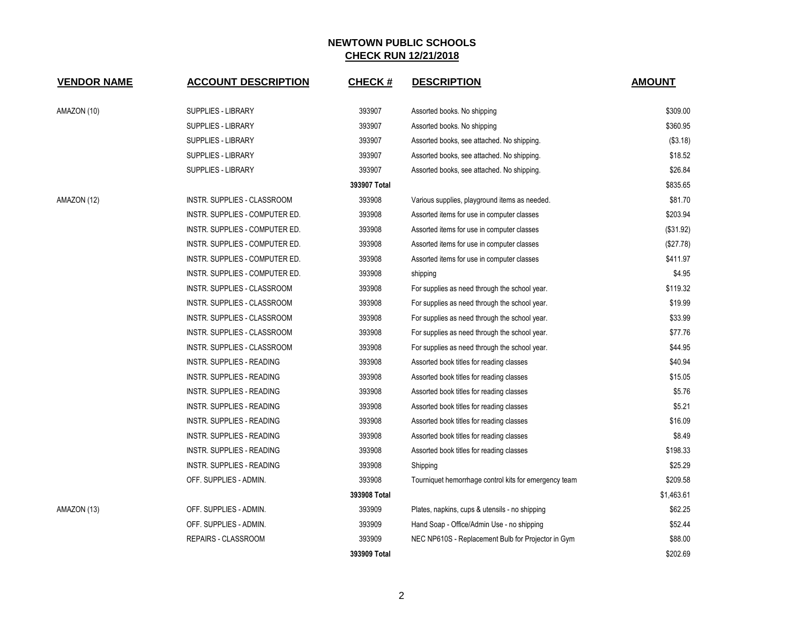| <b>VENDOR NAME</b> | <b>ACCOUNT DESCRIPTION</b>       | <b>CHECK#</b> | <b>DESCRIPTION</b>                                    | <b>AMOUNT</b> |
|--------------------|----------------------------------|---------------|-------------------------------------------------------|---------------|
| AMAZON (10)        | SUPPLIES - LIBRARY               | 393907        | Assorted books. No shipping                           | \$309.00      |
|                    | <b>SUPPLIES - LIBRARY</b>        | 393907        | Assorted books. No shipping                           | \$360.95      |
|                    | <b>SUPPLIES - LIBRARY</b>        | 393907        | Assorted books, see attached. No shipping.            | (\$3.18)      |
|                    | <b>SUPPLIES - LIBRARY</b>        | 393907        | Assorted books, see attached. No shipping.            | \$18.52       |
|                    | <b>SUPPLIES - LIBRARY</b>        | 393907        | Assorted books, see attached. No shipping.            | \$26.84       |
|                    |                                  | 393907 Total  |                                                       | \$835.65      |
| AMAZON (12)        | INSTR. SUPPLIES - CLASSROOM      | 393908        | Various supplies, playground items as needed.         | \$81.70       |
|                    | INSTR. SUPPLIES - COMPUTER ED.   | 393908        | Assorted items for use in computer classes            | \$203.94      |
|                    | INSTR. SUPPLIES - COMPUTER ED.   | 393908        | Assorted items for use in computer classes            | (\$31.92)     |
|                    | INSTR. SUPPLIES - COMPUTER ED.   | 393908        | Assorted items for use in computer classes            | (\$27.78)     |
|                    | INSTR. SUPPLIES - COMPUTER ED.   | 393908        | Assorted items for use in computer classes            | \$411.97      |
|                    | INSTR. SUPPLIES - COMPUTER ED.   | 393908        | shipping                                              | \$4.95        |
|                    | INSTR. SUPPLIES - CLASSROOM      | 393908        | For supplies as need through the school year.         | \$119.32      |
|                    | INSTR. SUPPLIES - CLASSROOM      | 393908        | For supplies as need through the school year.         | \$19.99       |
|                    | INSTR. SUPPLIES - CLASSROOM      | 393908        | For supplies as need through the school year.         | \$33.99       |
|                    | INSTR. SUPPLIES - CLASSROOM      | 393908        | For supplies as need through the school year.         | \$77.76       |
|                    | INSTR. SUPPLIES - CLASSROOM      | 393908        | For supplies as need through the school year.         | \$44.95       |
|                    | INSTR. SUPPLIES - READING        | 393908        | Assorted book titles for reading classes              | \$40.94       |
|                    | INSTR. SUPPLIES - READING        | 393908        | Assorted book titles for reading classes              | \$15.05       |
|                    | <b>INSTR. SUPPLIES - READING</b> | 393908        | Assorted book titles for reading classes              | \$5.76        |
|                    | INSTR. SUPPLIES - READING        | 393908        | Assorted book titles for reading classes              | \$5.21        |
|                    | <b>INSTR. SUPPLIES - READING</b> | 393908        | Assorted book titles for reading classes              | \$16.09       |
|                    | INSTR. SUPPLIES - READING        | 393908        | Assorted book titles for reading classes              | \$8.49        |
|                    | <b>INSTR. SUPPLIES - READING</b> | 393908        | Assorted book titles for reading classes              | \$198.33      |
|                    | INSTR. SUPPLIES - READING        | 393908        | Shipping                                              | \$25.29       |
|                    | OFF. SUPPLIES - ADMIN.           | 393908        | Tourniquet hemorrhage control kits for emergency team | \$209.58      |
|                    |                                  | 393908 Total  |                                                       | \$1,463.61    |
| AMAZON (13)        | OFF. SUPPLIES - ADMIN.           | 393909        | Plates, napkins, cups & utensils - no shipping        | \$62.25       |
|                    | OFF. SUPPLIES - ADMIN.           | 393909        | Hand Soap - Office/Admin Use - no shipping            | \$52.44       |
|                    | REPAIRS - CLASSROOM              | 393909        | NEC NP610S - Replacement Bulb for Projector in Gym    | \$88.00       |
|                    |                                  | 393909 Total  |                                                       | \$202.69      |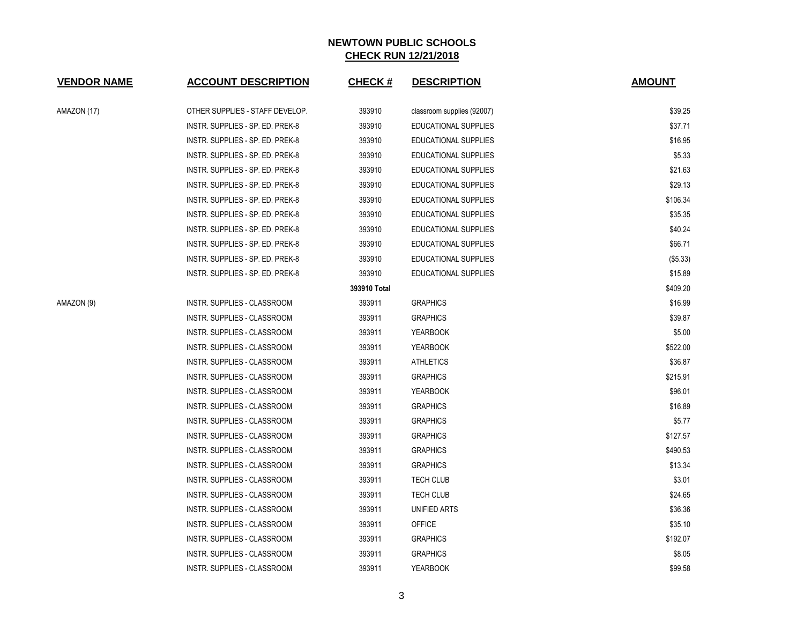| <b>VENDOR NAME</b> | <b>ACCOUNT DESCRIPTION</b>         | <b>CHECK#</b> | <b>DESCRIPTION</b>          | <b>AMOUNT</b> |
|--------------------|------------------------------------|---------------|-----------------------------|---------------|
| AMAZON (17)        | OTHER SUPPLIES - STAFF DEVELOP.    | 393910        | classroom supplies (92007)  | \$39.25       |
|                    | INSTR. SUPPLIES - SP. ED. PREK-8   | 393910        | <b>EDUCATIONAL SUPPLIES</b> | \$37.71       |
|                    | INSTR. SUPPLIES - SP. ED. PREK-8   | 393910        | EDUCATIONAL SUPPLIES        | \$16.95       |
|                    | INSTR. SUPPLIES - SP. ED. PREK-8   | 393910        | EDUCATIONAL SUPPLIES        | \$5.33        |
|                    | INSTR. SUPPLIES - SP. ED. PREK-8   | 393910        | <b>EDUCATIONAL SUPPLIES</b> | \$21.63       |
|                    | INSTR. SUPPLIES - SP. ED. PREK-8   | 393910        | EDUCATIONAL SUPPLIES        | \$29.13       |
|                    | INSTR. SUPPLIES - SP. ED. PREK-8   | 393910        | EDUCATIONAL SUPPLIES        | \$106.34      |
|                    | INSTR. SUPPLIES - SP. ED. PREK-8   | 393910        | EDUCATIONAL SUPPLIES        | \$35.35       |
|                    | INSTR. SUPPLIES - SP. ED. PREK-8   | 393910        | EDUCATIONAL SUPPLIES        | \$40.24       |
|                    | INSTR. SUPPLIES - SP. ED. PREK-8   | 393910        | EDUCATIONAL SUPPLIES        | \$66.71       |
|                    | INSTR. SUPPLIES - SP. ED. PREK-8   | 393910        | <b>EDUCATIONAL SUPPLIES</b> | (S5.33)       |
|                    | INSTR. SUPPLIES - SP. ED. PREK-8   | 393910        | EDUCATIONAL SUPPLIES        | \$15.89       |
|                    |                                    | 393910 Total  |                             | \$409.20      |
| AMAZON (9)         | INSTR. SUPPLIES - CLASSROOM        | 393911        | <b>GRAPHICS</b>             | \$16.99       |
|                    | INSTR. SUPPLIES - CLASSROOM        | 393911        | <b>GRAPHICS</b>             | \$39.87       |
|                    | INSTR. SUPPLIES - CLASSROOM        | 393911        | <b>YEARBOOK</b>             | \$5.00        |
|                    | INSTR. SUPPLIES - CLASSROOM        | 393911        | <b>YEARBOOK</b>             | \$522.00      |
|                    | INSTR. SUPPLIES - CLASSROOM        | 393911        | <b>ATHLETICS</b>            | \$36.87       |
|                    | INSTR. SUPPLIES - CLASSROOM        | 393911        | <b>GRAPHICS</b>             | \$215.91      |
|                    | <b>INSTR. SUPPLIES - CLASSROOM</b> | 393911        | <b>YEARBOOK</b>             | \$96.01       |
|                    | INSTR. SUPPLIES - CLASSROOM        | 393911        | <b>GRAPHICS</b>             | \$16.89       |
|                    | INSTR. SUPPLIES - CLASSROOM        | 393911        | <b>GRAPHICS</b>             | \$5.77        |
|                    | INSTR. SUPPLIES - CLASSROOM        | 393911        | <b>GRAPHICS</b>             | \$127.57      |
|                    | INSTR. SUPPLIES - CLASSROOM        | 393911        | <b>GRAPHICS</b>             | \$490.53      |
|                    | INSTR. SUPPLIES - CLASSROOM        | 393911        | <b>GRAPHICS</b>             | \$13.34       |
|                    | INSTR. SUPPLIES - CLASSROOM        | 393911        | TECH CLUB                   | \$3.01        |
|                    | INSTR. SUPPLIES - CLASSROOM        | 393911        | <b>TECH CLUB</b>            | \$24.65       |
|                    | INSTR. SUPPLIES - CLASSROOM        | 393911        | UNIFIED ARTS                | \$36.36       |
|                    | INSTR. SUPPLIES - CLASSROOM        | 393911        | <b>OFFICE</b>               | \$35.10       |
|                    | INSTR. SUPPLIES - CLASSROOM        | 393911        | <b>GRAPHICS</b>             | \$192.07      |
|                    | INSTR. SUPPLIES - CLASSROOM        | 393911        | <b>GRAPHICS</b>             | \$8.05        |
|                    | INSTR. SUPPLIES - CLASSROOM        | 393911        | <b>YEARBOOK</b>             | \$99.58       |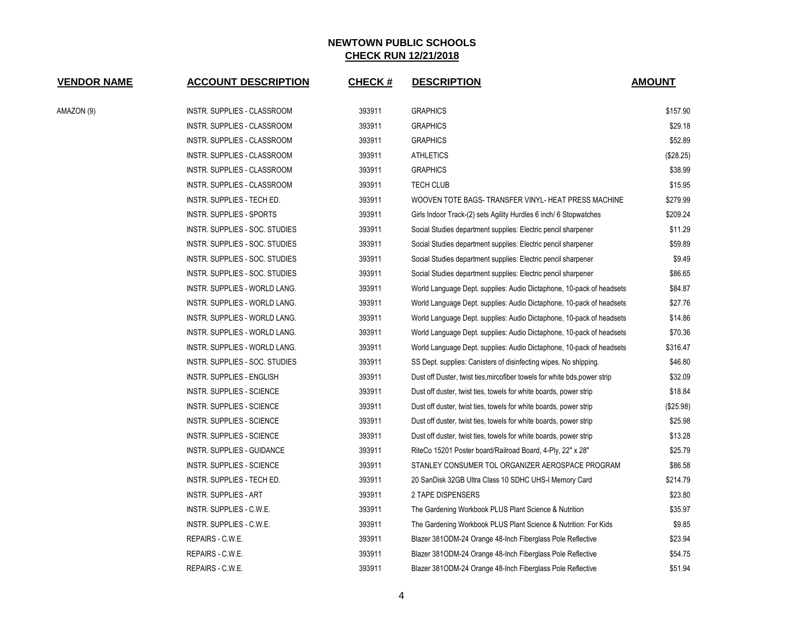| <b>VENDOR NAME</b> | <b>ACCOUNT DESCRIPTION</b>       | <b>CHECK#</b> | <b>DESCRIPTION</b>                                                        | <b>AMOUNT</b> |
|--------------------|----------------------------------|---------------|---------------------------------------------------------------------------|---------------|
| AMAZON (9)         | INSTR. SUPPLIES - CLASSROOM      | 393911        | <b>GRAPHICS</b>                                                           | \$157.90      |
|                    | INSTR. SUPPLIES - CLASSROOM      | 393911        | <b>GRAPHICS</b>                                                           | \$29.18       |
|                    | INSTR. SUPPLIES - CLASSROOM      | 393911        | <b>GRAPHICS</b>                                                           | \$52.89       |
|                    | INSTR. SUPPLIES - CLASSROOM      | 393911        | <b>ATHLETICS</b>                                                          | (\$28.25)     |
|                    | INSTR. SUPPLIES - CLASSROOM      | 393911        | <b>GRAPHICS</b>                                                           | \$38.99       |
|                    | INSTR. SUPPLIES - CLASSROOM      | 393911        | <b>TECH CLUB</b>                                                          | \$15.95       |
|                    | INSTR. SUPPLIES - TECH ED.       | 393911        | WOOVEN TOTE BAGS-TRANSFER VINYL-HEAT PRESS MACHINE                        | \$279.99      |
|                    | <b>INSTR. SUPPLIES - SPORTS</b>  | 393911        | Girls Indoor Track-(2) sets Agility Hurdles 6 inch/ 6 Stopwatches         | \$209.24      |
|                    | INSTR. SUPPLIES - SOC. STUDIES   | 393911        | Social Studies department supplies: Electric pencil sharpener             | \$11.29       |
|                    | INSTR. SUPPLIES - SOC. STUDIES   | 393911        | Social Studies department supplies: Electric pencil sharpener             | \$59.89       |
|                    | INSTR. SUPPLIES - SOC. STUDIES   | 393911        | Social Studies department supplies: Electric pencil sharpener             | \$9.49        |
|                    | INSTR. SUPPLIES - SOC. STUDIES   | 393911        | Social Studies department supplies: Electric pencil sharpener             | \$86.65       |
|                    | INSTR. SUPPLIES - WORLD LANG.    | 393911        | World Language Dept. supplies: Audio Dictaphone, 10-pack of headsets      | \$84.87       |
|                    | INSTR. SUPPLIES - WORLD LANG.    | 393911        | World Language Dept. supplies: Audio Dictaphone, 10-pack of headsets      | \$27.76       |
|                    | INSTR. SUPPLIES - WORLD LANG.    | 393911        | World Language Dept. supplies: Audio Dictaphone, 10-pack of headsets      | \$14.86       |
|                    | INSTR. SUPPLIES - WORLD LANG.    | 393911        | World Language Dept. supplies: Audio Dictaphone, 10-pack of headsets      | \$70.36       |
|                    | INSTR. SUPPLIES - WORLD LANG.    | 393911        | World Language Dept. supplies: Audio Dictaphone, 10-pack of headsets      | \$316.47      |
|                    | INSTR. SUPPLIES - SOC. STUDIES   | 393911        | SS Dept. supplies: Canisters of disinfecting wipes. No shipping.          | \$46.80       |
|                    | INSTR. SUPPLIES - ENGLISH        | 393911        | Dust off Duster, twist ties, mircofiber towels for white bds, power strip | \$32.09       |
|                    | <b>INSTR. SUPPLIES - SCIENCE</b> | 393911        | Dust off duster, twist ties, towels for white boards, power strip         | \$18.84       |
|                    | <b>INSTR. SUPPLIES - SCIENCE</b> | 393911        | Dust off duster, twist ties, towels for white boards, power strip         | (\$25.98)     |
|                    | <b>INSTR. SUPPLIES - SCIENCE</b> | 393911        | Dust off duster, twist ties, towels for white boards, power strip         | \$25.98       |
|                    | <b>INSTR. SUPPLIES - SCIENCE</b> | 393911        | Dust off duster, twist ties, towels for white boards, power strip         | \$13.28       |
|                    | INSTR. SUPPLIES - GUIDANCE       | 393911        | RiteCo 15201 Poster board/Railroad Board, 4-Ply, 22" x 28"                | \$25.79       |
|                    | INSTR. SUPPLIES - SCIENCE        | 393911        | STANLEY CONSUMER TOL ORGANIZER AEROSPACE PROGRAM                          | \$86.58       |
|                    | INSTR. SUPPLIES - TECH ED.       | 393911        | 20 SanDisk 32GB Ultra Class 10 SDHC UHS-I Memory Card                     | \$214.79      |
|                    | <b>INSTR. SUPPLIES - ART</b>     | 393911        | 2 TAPE DISPENSERS                                                         | \$23.80       |
|                    | INSTR. SUPPLIES - C.W.E.         | 393911        | The Gardening Workbook PLUS Plant Science & Nutrition                     | \$35.97       |
|                    | INSTR. SUPPLIES - C.W.E.         | 393911        | The Gardening Workbook PLUS Plant Science & Nutrition: For Kids           | \$9.85        |
|                    | REPAIRS - C.W.E.                 | 393911        | Blazer 381 ODM-24 Orange 48-Inch Fiberglass Pole Reflective               | \$23.94       |
|                    | REPAIRS - C.W.E.                 | 393911        | Blazer 381 ODM-24 Orange 48-Inch Fiberglass Pole Reflective               | \$54.75       |
|                    | REPAIRS - C.W.E.                 | 393911        | Blazer 381ODM-24 Orange 48-Inch Fiberglass Pole Reflective                | \$51.94       |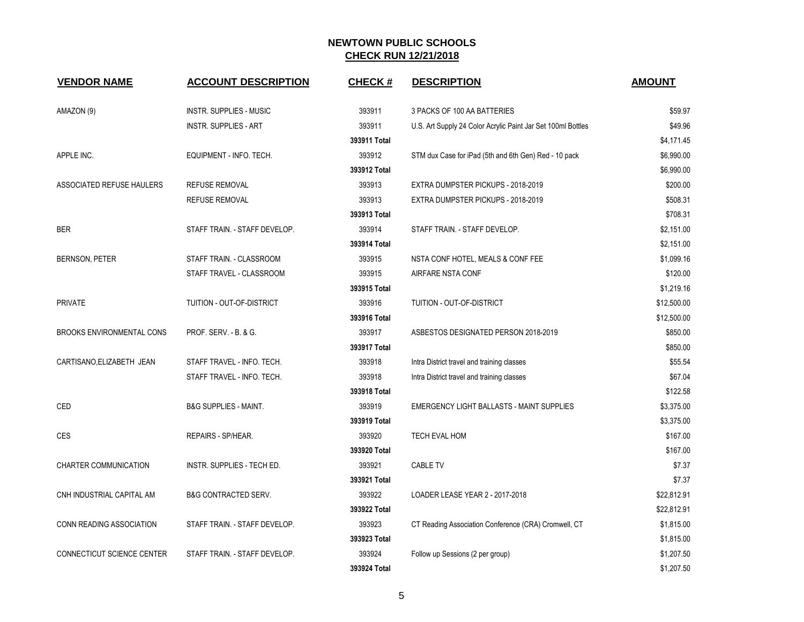| <b>VENDOR NAME</b>               | <b>ACCOUNT DESCRIPTION</b>       | <b>CHECK#</b> | <b>DESCRIPTION</b>                                           | <b>AMOUNT</b> |
|----------------------------------|----------------------------------|---------------|--------------------------------------------------------------|---------------|
| AMAZON (9)                       | <b>INSTR. SUPPLIES - MUSIC</b>   | 393911        | 3 PACKS OF 100 AA BATTERIES                                  | \$59.97       |
|                                  | <b>INSTR. SUPPLIES - ART</b>     | 393911        | U.S. Art Supply 24 Color Acrylic Paint Jar Set 100ml Bottles | \$49.96       |
|                                  |                                  | 393911 Total  |                                                              | \$4,171.45    |
| APPLE INC.                       | EQUIPMENT - INFO. TECH.          | 393912        | STM dux Case for iPad (5th and 6th Gen) Red - 10 pack        | \$6,990.00    |
|                                  |                                  | 393912 Total  |                                                              | \$6,990.00    |
| ASSOCIATED REFUSE HAULERS        | <b>REFUSE REMOVAL</b>            | 393913        | EXTRA DUMPSTER PICKUPS - 2018-2019                           | \$200.00      |
|                                  | REFUSE REMOVAL                   | 393913        | EXTRA DUMPSTER PICKUPS - 2018-2019                           | \$508.31      |
|                                  |                                  | 393913 Total  |                                                              | \$708.31      |
| <b>BER</b>                       | STAFF TRAIN. - STAFF DEVELOP.    | 393914        | STAFF TRAIN. - STAFF DEVELOP.                                | \$2,151.00    |
|                                  |                                  | 393914 Total  |                                                              | \$2,151.00    |
| <b>BERNSON, PETER</b>            | STAFF TRAIN. - CLASSROOM         | 393915        | NSTA CONF HOTEL, MEALS & CONF FEE                            | \$1,099.16    |
|                                  | STAFF TRAVEL - CLASSROOM         | 393915        | AIRFARE NSTA CONF                                            | \$120.00      |
|                                  |                                  | 393915 Total  |                                                              | \$1,219.16    |
| <b>PRIVATE</b>                   | TUITION - OUT-OF-DISTRICT        | 393916        | TUITION - OUT-OF-DISTRICT                                    | \$12,500.00   |
|                                  |                                  | 393916 Total  |                                                              | \$12,500.00   |
| <b>BROOKS ENVIRONMENTAL CONS</b> | PROF. SERV. - B. & G.            | 393917        | ASBESTOS DESIGNATED PERSON 2018-2019                         | \$850.00      |
|                                  |                                  | 393917 Total  |                                                              | \$850.00      |
| CARTISANO, ELIZABETH JEAN        | STAFF TRAVEL - INFO. TECH.       | 393918        | Intra District travel and training classes                   | \$55.54       |
|                                  | STAFF TRAVEL - INFO. TECH.       | 393918        | Intra District travel and training classes                   | \$67.04       |
|                                  |                                  | 393918 Total  |                                                              | \$122.58      |
| <b>CED</b>                       | <b>B&amp;G SUPPLIES - MAINT.</b> | 393919        | EMERGENCY LIGHT BALLASTS - MAINT SUPPLIES                    | \$3,375.00    |
|                                  |                                  | 393919 Total  |                                                              | \$3,375.00    |
| <b>CES</b>                       | REPAIRS - SP/HEAR.               | 393920        | TECH EVAL HOM                                                | \$167.00      |
|                                  |                                  | 393920 Total  |                                                              | \$167.00      |
| CHARTER COMMUNICATION            | INSTR. SUPPLIES - TECH ED.       | 393921        | <b>CABLE TV</b>                                              | \$7.37        |
|                                  |                                  | 393921 Total  |                                                              | \$7.37        |
| CNH INDUSTRIAL CAPITAL AM        | <b>B&amp;G CONTRACTED SERV.</b>  | 393922        | LOADER LEASE YEAR 2 - 2017-2018                              | \$22,812.91   |
|                                  |                                  | 393922 Total  |                                                              | \$22,812.91   |
| <b>CONN READING ASSOCIATION</b>  | STAFF TRAIN. - STAFF DEVELOP.    | 393923        | CT Reading Association Conference (CRA) Cromwell, CT         | \$1,815.00    |
|                                  |                                  | 393923 Total  |                                                              | \$1,815.00    |
| CONNECTICUT SCIENCE CENTER       | STAFF TRAIN. - STAFF DEVELOP.    | 393924        | Follow up Sessions (2 per group)                             | \$1,207.50    |
|                                  |                                  | 393924 Total  |                                                              | \$1,207.50    |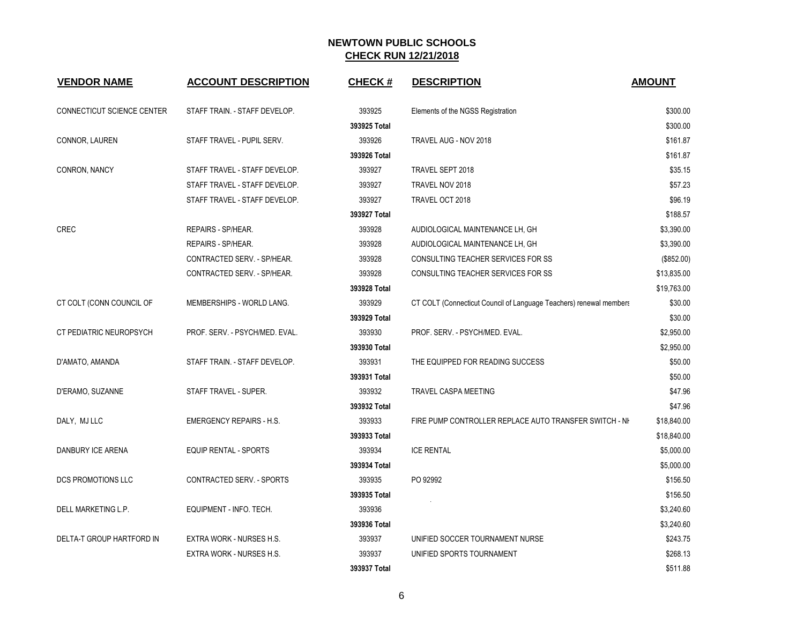| <b>VENDOR NAME</b>         | <b>ACCOUNT DESCRIPTION</b>      | <b>CHECK#</b> | <b>DESCRIPTION</b>                                                 | <b>AMOUNT</b> |
|----------------------------|---------------------------------|---------------|--------------------------------------------------------------------|---------------|
| CONNECTICUT SCIENCE CENTER | STAFF TRAIN. - STAFF DEVELOP.   | 393925        | Elements of the NGSS Registration                                  | \$300.00      |
|                            |                                 | 393925 Total  |                                                                    | \$300.00      |
| CONNOR, LAUREN             | STAFF TRAVEL - PUPIL SERV.      | 393926        | TRAVEL AUG - NOV 2018                                              | \$161.87      |
|                            |                                 | 393926 Total  |                                                                    | \$161.87      |
| CONRON, NANCY              | STAFF TRAVEL - STAFF DEVELOP.   | 393927        | TRAVEL SEPT 2018                                                   | \$35.15       |
|                            | STAFF TRAVEL - STAFF DEVELOP.   | 393927        | TRAVEL NOV 2018                                                    | \$57.23       |
|                            | STAFF TRAVEL - STAFF DEVELOP.   | 393927        | TRAVEL OCT 2018                                                    | \$96.19       |
|                            |                                 | 393927 Total  |                                                                    | \$188.57      |
| CREC                       | REPAIRS - SP/HEAR.              | 393928        | AUDIOLOGICAL MAINTENANCE LH, GH                                    | \$3,390.00    |
|                            | REPAIRS - SP/HEAR.              | 393928        | AUDIOLOGICAL MAINTENANCE LH, GH                                    | \$3,390.00    |
|                            | CONTRACTED SERV. - SP/HEAR.     | 393928        | CONSULTING TEACHER SERVICES FOR SS                                 | (\$852.00)    |
|                            | CONTRACTED SERV. - SP/HEAR.     | 393928        | CONSULTING TEACHER SERVICES FOR SS                                 | \$13,835.00   |
|                            |                                 | 393928 Total  |                                                                    | \$19,763.00   |
| CT COLT (CONN COUNCIL OF   | MEMBERSHIPS - WORLD LANG.       | 393929        | CT COLT (Connecticut Council of Language Teachers) renewal members | \$30.00       |
|                            |                                 | 393929 Total  |                                                                    | \$30.00       |
| CT PEDIATRIC NEUROPSYCH    | PROF. SERV. - PSYCH/MED. EVAL.  | 393930        | PROF. SERV. - PSYCH/MED. EVAL.                                     | \$2,950.00    |
|                            |                                 | 393930 Total  |                                                                    | \$2,950.00    |
| D'AMATO, AMANDA            | STAFF TRAIN. - STAFF DEVELOP.   | 393931        | THE EQUIPPED FOR READING SUCCESS                                   | \$50.00       |
|                            |                                 | 393931 Total  |                                                                    | \$50.00       |
| D'ERAMO, SUZANNE           | STAFF TRAVEL - SUPER.           | 393932        | TRAVEL CASPA MEETING                                               | \$47.96       |
|                            |                                 | 393932 Total  |                                                                    | \$47.96       |
| DALY, MJ LLC               | <b>EMERGENCY REPAIRS - H.S.</b> | 393933        | FIRE PUMP CONTROLLER REPLACE AUTO TRANSFER SWITCH - NH             | \$18,840.00   |
|                            |                                 | 393933 Total  |                                                                    | \$18,840.00   |
| DANBURY ICE ARENA          | <b>EQUIP RENTAL - SPORTS</b>    | 393934        | <b>ICE RENTAL</b>                                                  | \$5,000.00    |
|                            |                                 | 393934 Total  |                                                                    | \$5,000.00    |
| DCS PROMOTIONS LLC         | CONTRACTED SERV. - SPORTS       | 393935        | PO 92992                                                           | \$156.50      |
|                            |                                 | 393935 Total  |                                                                    | \$156.50      |
| DELL MARKETING L.P.        | EQUIPMENT - INFO. TECH.         | 393936        |                                                                    | \$3,240.60    |
|                            |                                 | 393936 Total  |                                                                    | \$3,240.60    |
| DELTA-T GROUP HARTFORD IN  | EXTRA WORK - NURSES H.S.        | 393937        | UNIFIED SOCCER TOURNAMENT NURSE                                    | \$243.75      |
|                            | EXTRA WORK - NURSES H.S.        | 393937        | UNIFIED SPORTS TOURNAMENT                                          | \$268.13      |
|                            |                                 | 393937 Total  |                                                                    | \$511.88      |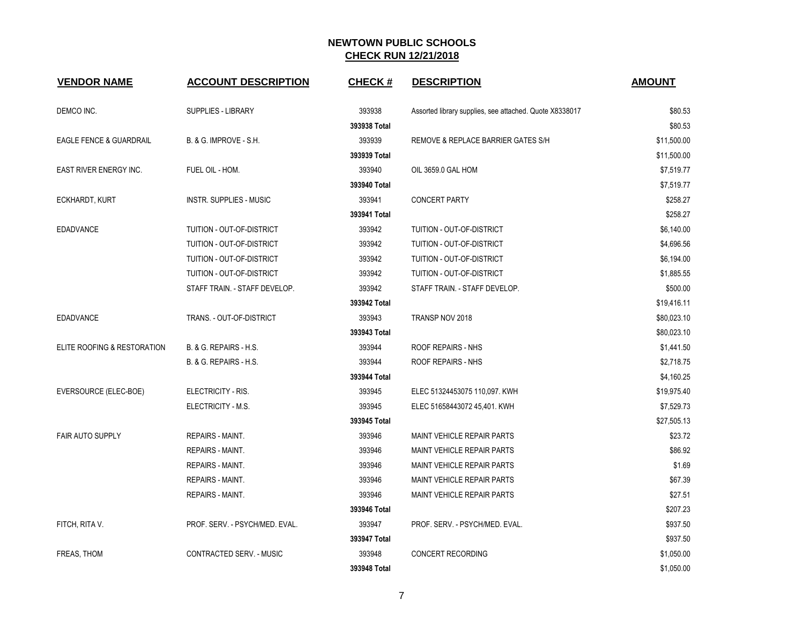| <b>VENDOR NAME</b>                 | <b>ACCOUNT DESCRIPTION</b>     | <b>CHECK#</b> | <b>DESCRIPTION</b>                                      | <b>AMOUNT</b> |
|------------------------------------|--------------------------------|---------------|---------------------------------------------------------|---------------|
| DEMCO INC.                         | <b>SUPPLIES - LIBRARY</b>      | 393938        | Assorted library supplies, see attached. Quote X8338017 | \$80.53       |
|                                    |                                | 393938 Total  |                                                         | \$80.53       |
| <b>EAGLE FENCE &amp; GUARDRAIL</b> | B. & G. IMPROVE - S.H.         | 393939        | <b>REMOVE &amp; REPLACE BARRIER GATES S/H</b>           | \$11,500.00   |
|                                    |                                | 393939 Total  |                                                         | \$11,500.00   |
| EAST RIVER ENERGY INC.             | FUEL OIL - HOM.                | 393940        | OIL 3659.0 GAL HOM                                      | \$7,519.77    |
|                                    |                                | 393940 Total  |                                                         | \$7,519.77    |
| ECKHARDT, KURT                     | INSTR. SUPPLIES - MUSIC        | 393941        | <b>CONCERT PARTY</b>                                    | \$258.27      |
|                                    |                                | 393941 Total  |                                                         | \$258.27      |
| <b>EDADVANCE</b>                   | TUITION - OUT-OF-DISTRICT      | 393942        | TUITION - OUT-OF-DISTRICT                               | \$6,140.00    |
|                                    | TUITION - OUT-OF-DISTRICT      | 393942        | TUITION - OUT-OF-DISTRICT                               | \$4,696.56    |
|                                    | TUITION - OUT-OF-DISTRICT      | 393942        | TUITION - OUT-OF-DISTRICT                               | \$6,194.00    |
|                                    | TUITION - OUT-OF-DISTRICT      | 393942        | TUITION - OUT-OF-DISTRICT                               | \$1,885.55    |
|                                    | STAFF TRAIN. - STAFF DEVELOP.  | 393942        | STAFF TRAIN. - STAFF DEVELOP.                           | \$500.00      |
|                                    |                                | 393942 Total  |                                                         | \$19,416.11   |
| <b>EDADVANCE</b>                   | TRANS. - OUT-OF-DISTRICT       | 393943        | TRANSP NOV 2018                                         | \$80,023.10   |
|                                    |                                | 393943 Total  |                                                         | \$80,023.10   |
| ELITE ROOFING & RESTORATION        | B. & G. REPAIRS - H.S.         | 393944        | ROOF REPAIRS - NHS                                      | \$1,441.50    |
|                                    | B. & G. REPAIRS - H.S.         | 393944        | ROOF REPAIRS - NHS                                      | \$2,718.75    |
|                                    |                                | 393944 Total  |                                                         | \$4,160.25    |
| EVERSOURCE (ELEC-BOE)              | ELECTRICITY - RIS.             | 393945        | ELEC 51324453075 110,097. KWH                           | \$19,975.40   |
|                                    | ELECTRICITY - M.S.             | 393945        | ELEC 51658443072 45,401. KWH                            | \$7,529.73    |
|                                    |                                | 393945 Total  |                                                         | \$27,505.13   |
| <b>FAIR AUTO SUPPLY</b>            | <b>REPAIRS - MAINT.</b>        | 393946        | <b>MAINT VEHICLE REPAIR PARTS</b>                       | \$23.72       |
|                                    | REPAIRS - MAINT.               | 393946        | <b>MAINT VEHICLE REPAIR PARTS</b>                       | \$86.92       |
|                                    | <b>REPAIRS - MAINT.</b>        | 393946        | <b>MAINT VEHICLE REPAIR PARTS</b>                       | \$1.69        |
|                                    | <b>REPAIRS - MAINT.</b>        | 393946        | <b>MAINT VEHICLE REPAIR PARTS</b>                       | \$67.39       |
|                                    | REPAIRS - MAINT.               | 393946        | MAINT VEHICLE REPAIR PARTS                              | \$27.51       |
|                                    |                                | 393946 Total  |                                                         | \$207.23      |
| FITCH, RITA V.                     | PROF. SERV. - PSYCH/MED. EVAL. | 393947        | PROF. SERV. - PSYCH/MED. EVAL.                          | \$937.50      |
|                                    |                                | 393947 Total  |                                                         | \$937.50      |
| FREAS, THOM                        | CONTRACTED SERV. - MUSIC       | 393948        | <b>CONCERT RECORDING</b>                                | \$1,050.00    |
|                                    |                                | 393948 Total  |                                                         | \$1,050.00    |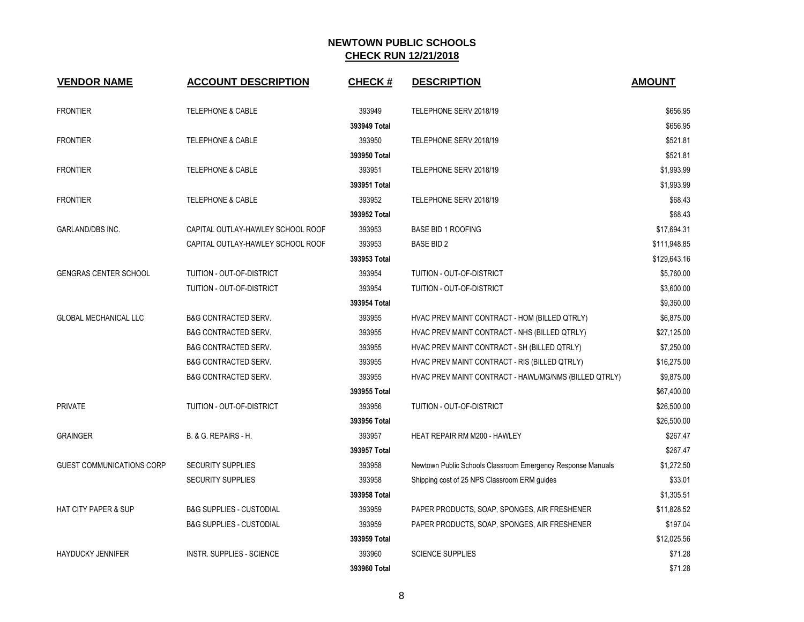| <b>VENDOR NAME</b>               | <b>ACCOUNT DESCRIPTION</b>          | <b>CHECK#</b> | <b>DESCRIPTION</b>                                          | <b>AMOUNT</b> |
|----------------------------------|-------------------------------------|---------------|-------------------------------------------------------------|---------------|
| <b>FRONTIER</b>                  | <b>TELEPHONE &amp; CABLE</b>        | 393949        | TELEPHONE SERV 2018/19                                      | \$656.95      |
|                                  |                                     | 393949 Total  |                                                             | \$656.95      |
| <b>FRONTIER</b>                  | <b>TELEPHONE &amp; CABLE</b>        | 393950        | TELEPHONE SERV 2018/19                                      | \$521.81      |
|                                  |                                     | 393950 Total  |                                                             | \$521.81      |
| <b>FRONTIER</b>                  | <b>TELEPHONE &amp; CABLE</b>        | 393951        | TELEPHONE SERV 2018/19                                      | \$1,993.99    |
|                                  |                                     | 393951 Total  |                                                             | \$1,993.99    |
| <b>FRONTIER</b>                  | <b>TELEPHONE &amp; CABLE</b>        | 393952        | TELEPHONE SERV 2018/19                                      | \$68.43       |
|                                  |                                     | 393952 Total  |                                                             | \$68.43       |
| <b>GARLAND/DBS INC.</b>          | CAPITAL OUTLAY-HAWLEY SCHOOL ROOF   | 393953        | <b>BASE BID 1 ROOFING</b>                                   | \$17,694.31   |
|                                  | CAPITAL OUTLAY-HAWLEY SCHOOL ROOF   | 393953        | <b>BASE BID 2</b>                                           | \$111,948.85  |
|                                  |                                     | 393953 Total  |                                                             | \$129,643.16  |
| <b>GENGRAS CENTER SCHOOL</b>     | TUITION - OUT-OF-DISTRICT           | 393954        | TUITION - OUT-OF-DISTRICT                                   | \$5,760.00    |
|                                  | TUITION - OUT-OF-DISTRICT           | 393954        | TUITION - OUT-OF-DISTRICT                                   | \$3,600.00    |
|                                  |                                     | 393954 Total  |                                                             | \$9,360.00    |
| <b>GLOBAL MECHANICAL LLC</b>     | <b>B&amp;G CONTRACTED SERV.</b>     | 393955        | HVAC PREV MAINT CONTRACT - HOM (BILLED QTRLY)               | \$6,875.00    |
|                                  | <b>B&amp;G CONTRACTED SERV.</b>     | 393955        | HVAC PREV MAINT CONTRACT - NHS (BILLED QTRLY)               | \$27,125.00   |
|                                  | <b>B&amp;G CONTRACTED SERV.</b>     | 393955        | HVAC PREV MAINT CONTRACT - SH (BILLED QTRLY)                | \$7,250.00    |
|                                  | <b>B&amp;G CONTRACTED SERV.</b>     | 393955        | HVAC PREV MAINT CONTRACT - RIS (BILLED QTRLY)               | \$16,275.00   |
|                                  | <b>B&amp;G CONTRACTED SERV.</b>     | 393955        | HVAC PREV MAINT CONTRACT - HAWL/MG/NMS (BILLED QTRLY)       | \$9,875.00    |
|                                  |                                     | 393955 Total  |                                                             | \$67,400.00   |
| <b>PRIVATE</b>                   | TUITION - OUT-OF-DISTRICT           | 393956        | TUITION - OUT-OF-DISTRICT                                   | \$26,500.00   |
|                                  |                                     | 393956 Total  |                                                             | \$26,500.00   |
| <b>GRAINGER</b>                  | B. & G. REPAIRS - H.                | 393957        | HEAT REPAIR RM M200 - HAWLEY                                | \$267.47      |
|                                  |                                     | 393957 Total  |                                                             | \$267.47      |
| <b>GUEST COMMUNICATIONS CORP</b> | <b>SECURITY SUPPLIES</b>            | 393958        | Newtown Public Schools Classroom Emergency Response Manuals | \$1,272.50    |
|                                  | <b>SECURITY SUPPLIES</b>            | 393958        | Shipping cost of 25 NPS Classroom ERM guides                | \$33.01       |
|                                  |                                     | 393958 Total  |                                                             | \$1,305.51    |
| <b>HAT CITY PAPER &amp; SUP</b>  | <b>B&amp;G SUPPLIES - CUSTODIAL</b> | 393959        | PAPER PRODUCTS, SOAP, SPONGES, AIR FRESHENER                | \$11,828.52   |
|                                  | <b>B&amp;G SUPPLIES - CUSTODIAL</b> | 393959        | PAPER PRODUCTS, SOAP, SPONGES, AIR FRESHENER                | \$197.04      |
|                                  |                                     | 393959 Total  |                                                             | \$12,025.56   |
| <b>HAYDUCKY JENNIFER</b>         | <b>INSTR. SUPPLIES - SCIENCE</b>    | 393960        | <b>SCIENCE SUPPLIES</b>                                     | \$71.28       |
|                                  |                                     | 393960 Total  |                                                             | \$71.28       |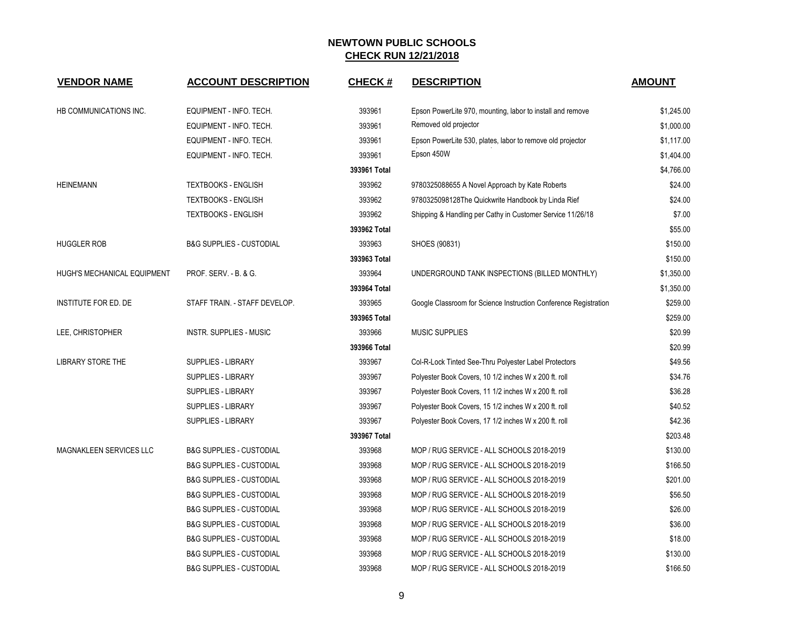| <b>VENDOR NAME</b>             | <b>ACCOUNT DESCRIPTION</b>          | <b>CHECK#</b> | <b>DESCRIPTION</b>                                               | <b>AMOUNT</b> |
|--------------------------------|-------------------------------------|---------------|------------------------------------------------------------------|---------------|
| HB COMMUNICATIONS INC.         | EQUIPMENT - INFO. TECH.             | 393961        | Epson PowerLite 970, mounting, labor to install and remove       | \$1,245.00    |
|                                | EQUIPMENT - INFO. TECH.             | 393961        | Removed old projector                                            | \$1,000.00    |
|                                | EQUIPMENT - INFO. TECH.             | 393961        | Epson PowerLite 530, plates, labor to remove old projector       | \$1,117.00    |
|                                | EQUIPMENT - INFO. TECH.             | 393961        | Epson 450W                                                       | \$1,404.00    |
|                                |                                     | 393961 Total  |                                                                  | \$4,766.00    |
| <b>HEINEMANN</b>               | <b>TEXTBOOKS - ENGLISH</b>          | 393962        | 9780325088655 A Novel Approach by Kate Roberts                   | \$24.00       |
|                                | <b>TEXTBOOKS - ENGLISH</b>          | 393962        | 9780325098128The Quickwrite Handbook by Linda Rief               | \$24.00       |
|                                | <b>TEXTBOOKS - ENGLISH</b>          | 393962        | Shipping & Handling per Cathy in Customer Service 11/26/18       | \$7.00        |
|                                |                                     | 393962 Total  |                                                                  | \$55.00       |
| <b>HUGGLER ROB</b>             | <b>B&amp;G SUPPLIES - CUSTODIAL</b> | 393963        | SHOES (90831)                                                    | \$150.00      |
|                                |                                     | 393963 Total  |                                                                  | \$150.00      |
| HUGH'S MECHANICAL EQUIPMENT    | <b>PROF. SERV. - B. &amp; G.</b>    | 393964        | UNDERGROUND TANK INSPECTIONS (BILLED MONTHLY)                    | \$1,350.00    |
|                                |                                     | 393964 Total  |                                                                  | \$1,350.00    |
| <b>INSTITUTE FOR ED. DE</b>    | STAFF TRAIN. - STAFF DEVELOP.       | 393965        | Google Classroom for Science Instruction Conference Registration | \$259.00      |
|                                |                                     | 393965 Total  |                                                                  | \$259.00      |
| LEE, CHRISTOPHER               | <b>INSTR. SUPPLIES - MUSIC</b>      | 393966        | <b>MUSIC SUPPLIES</b>                                            | \$20.99       |
|                                |                                     | 393966 Total  |                                                                  | \$20.99       |
| <b>LIBRARY STORE THE</b>       | <b>SUPPLIES - LIBRARY</b>           | 393967        | Col-R-Lock Tinted See-Thru Polyester Label Protectors            | \$49.56       |
|                                | <b>SUPPLIES - LIBRARY</b>           | 393967        | Polyester Book Covers, 10 1/2 inches W x 200 ft. roll            | \$34.76       |
|                                | <b>SUPPLIES - LIBRARY</b>           | 393967        | Polyester Book Covers, 11 1/2 inches W x 200 ft. roll            | \$36.28       |
|                                | <b>SUPPLIES - LIBRARY</b>           | 393967        | Polyester Book Covers, 15 1/2 inches W x 200 ft. roll            | \$40.52       |
|                                | <b>SUPPLIES - LIBRARY</b>           | 393967        | Polyester Book Covers, 17 1/2 inches W x 200 ft. roll            | \$42.36       |
|                                |                                     | 393967 Total  |                                                                  | \$203.48      |
| <b>MAGNAKLEEN SERVICES LLC</b> | <b>B&amp;G SUPPLIES - CUSTODIAL</b> | 393968        | MOP / RUG SERVICE - ALL SCHOOLS 2018-2019                        | \$130.00      |
|                                | <b>B&amp;G SUPPLIES - CUSTODIAL</b> | 393968        | MOP / RUG SERVICE - ALL SCHOOLS 2018-2019                        | \$166.50      |
|                                | <b>B&amp;G SUPPLIES - CUSTODIAL</b> | 393968        | MOP / RUG SERVICE - ALL SCHOOLS 2018-2019                        | \$201.00      |
|                                | <b>B&amp;G SUPPLIES - CUSTODIAL</b> | 393968        | MOP / RUG SERVICE - ALL SCHOOLS 2018-2019                        | \$56.50       |
|                                | <b>B&amp;G SUPPLIES - CUSTODIAL</b> | 393968        | MOP / RUG SERVICE - ALL SCHOOLS 2018-2019                        | \$26.00       |
|                                | <b>B&amp;G SUPPLIES - CUSTODIAL</b> | 393968        | MOP / RUG SERVICE - ALL SCHOOLS 2018-2019                        | \$36.00       |
|                                | <b>B&amp;G SUPPLIES - CUSTODIAL</b> | 393968        | MOP / RUG SERVICE - ALL SCHOOLS 2018-2019                        | \$18.00       |
|                                | <b>B&amp;G SUPPLIES - CUSTODIAL</b> | 393968        | MOP / RUG SERVICE - ALL SCHOOLS 2018-2019                        | \$130.00      |
|                                | <b>B&amp;G SUPPLIES - CUSTODIAL</b> | 393968        | MOP / RUG SERVICE - ALL SCHOOLS 2018-2019                        | \$166.50      |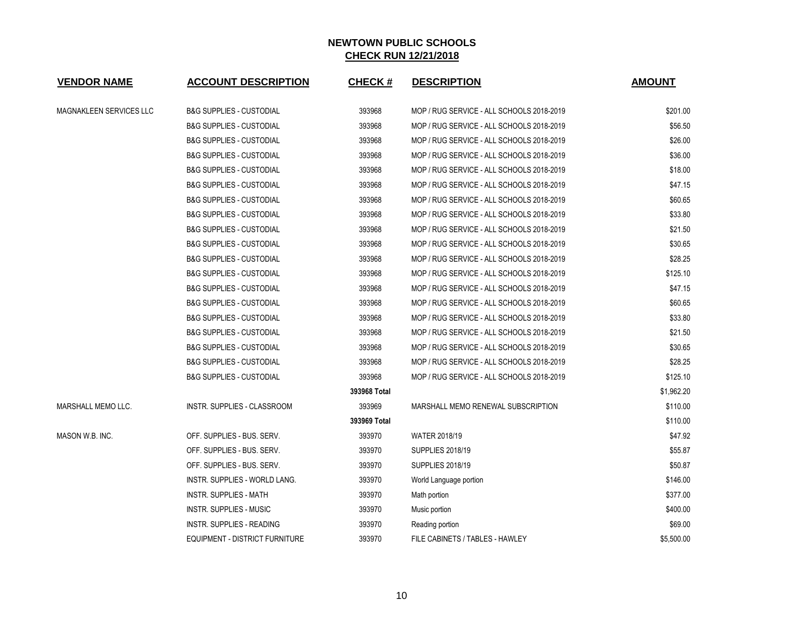| <b>VENDOR NAME</b>             | <b>ACCOUNT DESCRIPTION</b>          | <b>CHECK#</b> | <b>DESCRIPTION</b>                        | <b>AMOUNT</b> |
|--------------------------------|-------------------------------------|---------------|-------------------------------------------|---------------|
| <b>MAGNAKLEEN SERVICES LLC</b> | <b>B&amp;G SUPPLIES - CUSTODIAL</b> | 393968        | MOP / RUG SERVICE - ALL SCHOOLS 2018-2019 | \$201.00      |
|                                | <b>B&amp;G SUPPLIES - CUSTODIAL</b> | 393968        | MOP / RUG SERVICE - ALL SCHOOLS 2018-2019 | \$56.50       |
|                                | <b>B&amp;G SUPPLIES - CUSTODIAL</b> | 393968        | MOP / RUG SERVICE - ALL SCHOOLS 2018-2019 | \$26.00       |
|                                | <b>B&amp;G SUPPLIES - CUSTODIAL</b> | 393968        | MOP / RUG SERVICE - ALL SCHOOLS 2018-2019 | \$36.00       |
|                                | <b>B&amp;G SUPPLIES - CUSTODIAL</b> | 393968        | MOP / RUG SERVICE - ALL SCHOOLS 2018-2019 | \$18.00       |
|                                | <b>B&amp;G SUPPLIES - CUSTODIAL</b> | 393968        | MOP / RUG SERVICE - ALL SCHOOLS 2018-2019 | \$47.15       |
|                                | <b>B&amp;G SUPPLIES - CUSTODIAL</b> | 393968        | MOP / RUG SERVICE - ALL SCHOOLS 2018-2019 | \$60.65       |
|                                | <b>B&amp;G SUPPLIES - CUSTODIAL</b> | 393968        | MOP / RUG SERVICE - ALL SCHOOLS 2018-2019 | \$33.80       |
|                                | <b>B&amp;G SUPPLIES - CUSTODIAL</b> | 393968        | MOP / RUG SERVICE - ALL SCHOOLS 2018-2019 | \$21.50       |
|                                | <b>B&amp;G SUPPLIES - CUSTODIAL</b> | 393968        | MOP / RUG SERVICE - ALL SCHOOLS 2018-2019 | \$30.65       |
|                                | <b>B&amp;G SUPPLIES - CUSTODIAL</b> | 393968        | MOP / RUG SERVICE - ALL SCHOOLS 2018-2019 | \$28.25       |
|                                | <b>B&amp;G SUPPLIES - CUSTODIAL</b> | 393968        | MOP / RUG SERVICE - ALL SCHOOLS 2018-2019 | \$125.10      |
|                                | <b>B&amp;G SUPPLIES - CUSTODIAL</b> | 393968        | MOP / RUG SERVICE - ALL SCHOOLS 2018-2019 | \$47.15       |
|                                | <b>B&amp;G SUPPLIES - CUSTODIAL</b> | 393968        | MOP / RUG SERVICE - ALL SCHOOLS 2018-2019 | \$60.65       |
|                                | <b>B&amp;G SUPPLIES - CUSTODIAL</b> | 393968        | MOP / RUG SERVICE - ALL SCHOOLS 2018-2019 | \$33.80       |
|                                | <b>B&amp;G SUPPLIES - CUSTODIAL</b> | 393968        | MOP / RUG SERVICE - ALL SCHOOLS 2018-2019 | \$21.50       |
|                                | <b>B&amp;G SUPPLIES - CUSTODIAL</b> | 393968        | MOP / RUG SERVICE - ALL SCHOOLS 2018-2019 | \$30.65       |
|                                | <b>B&amp;G SUPPLIES - CUSTODIAL</b> | 393968        | MOP / RUG SERVICE - ALL SCHOOLS 2018-2019 | \$28.25       |
|                                | <b>B&amp;G SUPPLIES - CUSTODIAL</b> | 393968        | MOP / RUG SERVICE - ALL SCHOOLS 2018-2019 | \$125.10      |
|                                |                                     | 393968 Total  |                                           | \$1,962.20    |
| MARSHALL MEMO LLC.             | INSTR. SUPPLIES - CLASSROOM         | 393969        | MARSHALL MEMO RENEWAL SUBSCRIPTION        | \$110.00      |
|                                |                                     | 393969 Total  |                                           | \$110.00      |
| MASON W.B. INC.                | OFF. SUPPLIES - BUS. SERV.          | 393970        | <b>WATER 2018/19</b>                      | \$47.92       |
|                                | OFF. SUPPLIES - BUS. SERV.          | 393970        | <b>SUPPLIES 2018/19</b>                   | \$55.87       |
|                                | OFF. SUPPLIES - BUS. SERV.          | 393970        | <b>SUPPLIES 2018/19</b>                   | \$50.87       |
|                                | INSTR. SUPPLIES - WORLD LANG.       | 393970        | World Language portion                    | \$146.00      |
|                                | <b>INSTR. SUPPLIES - MATH</b>       | 393970        | Math portion                              | \$377.00      |
|                                | <b>INSTR. SUPPLIES - MUSIC</b>      | 393970        | Music portion                             | \$400.00      |
|                                | <b>INSTR. SUPPLIES - READING</b>    | 393970        | Reading portion                           | \$69.00       |
|                                | EQUIPMENT - DISTRICT FURNITURE      | 393970        | FILE CABINETS / TABLES - HAWLEY           | \$5,500.00    |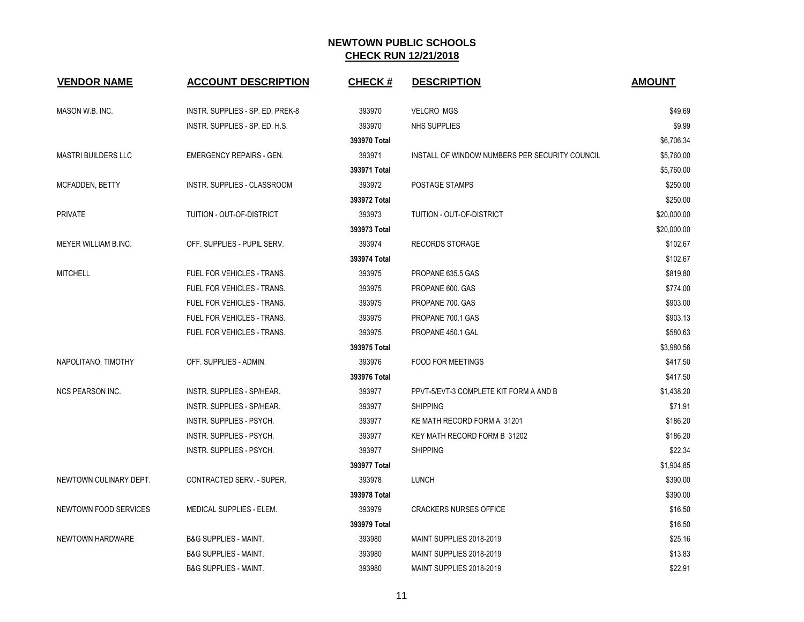| <b>VENDOR NAME</b>         | <b>ACCOUNT DESCRIPTION</b>        | <b>CHECK#</b> | <b>DESCRIPTION</b>                             | <b>AMOUNT</b> |
|----------------------------|-----------------------------------|---------------|------------------------------------------------|---------------|
| MASON W.B. INC.            | INSTR. SUPPLIES - SP. ED. PREK-8  | 393970        | <b>VELCRO MGS</b>                              | \$49.69       |
|                            | INSTR. SUPPLIES - SP. ED. H.S.    | 393970        | NHS SUPPLIES                                   | \$9.99        |
|                            |                                   | 393970 Total  |                                                | \$6,706.34    |
| <b>MASTRI BUILDERS LLC</b> | <b>EMERGENCY REPAIRS - GEN.</b>   | 393971        | INSTALL OF WINDOW NUMBERS PER SECURITY COUNCIL | \$5,760.00    |
|                            |                                   | 393971 Total  |                                                | \$5,760.00    |
| MCFADDEN, BETTY            | INSTR. SUPPLIES - CLASSROOM       | 393972        | POSTAGE STAMPS                                 | \$250.00      |
|                            |                                   | 393972 Total  |                                                | \$250.00      |
| <b>PRIVATE</b>             | TUITION - OUT-OF-DISTRICT         | 393973        | TUITION - OUT-OF-DISTRICT                      | \$20,000.00   |
|                            |                                   | 393973 Total  |                                                | \$20,000.00   |
| MEYER WILLIAM B.INC.       | OFF. SUPPLIES - PUPIL SERV.       | 393974        | <b>RECORDS STORAGE</b>                         | \$102.67      |
|                            |                                   | 393974 Total  |                                                | \$102.67      |
| <b>MITCHELL</b>            | FUEL FOR VEHICLES - TRANS.        | 393975        | PROPANE 635.5 GAS                              | \$819.80      |
|                            | FUEL FOR VEHICLES - TRANS.        | 393975        | PROPANE 600. GAS                               | \$774.00      |
|                            | FUEL FOR VEHICLES - TRANS.        | 393975        | PROPANE 700. GAS                               | \$903.00      |
|                            | FUEL FOR VEHICLES - TRANS.        | 393975        | PROPANE 700.1 GAS                              | \$903.13      |
|                            | <b>FUEL FOR VEHICLES - TRANS.</b> | 393975        | PROPANE 450.1 GAL                              | \$580.63      |
|                            |                                   | 393975 Total  |                                                | \$3,980.56    |
| NAPOLITANO, TIMOTHY        | OFF. SUPPLIES - ADMIN.            | 393976        | <b>FOOD FOR MEETINGS</b>                       | \$417.50      |
|                            |                                   | 393976 Total  |                                                | \$417.50      |
| <b>NCS PEARSON INC.</b>    | INSTR. SUPPLIES - SP/HEAR.        | 393977        | PPVT-5/EVT-3 COMPLETE KIT FORM A AND B         | \$1,438.20    |
|                            | INSTR. SUPPLIES - SP/HEAR.        | 393977        | <b>SHIPPING</b>                                | \$71.91       |
|                            | INSTR. SUPPLIES - PSYCH.          | 393977        | KE MATH RECORD FORM A 31201                    | \$186.20      |
|                            | INSTR. SUPPLIES - PSYCH.          | 393977        | <b>KEY MATH RECORD FORM B 31202</b>            | \$186.20      |
|                            | INSTR. SUPPLIES - PSYCH.          | 393977        | <b>SHIPPING</b>                                | \$22.34       |
|                            |                                   | 393977 Total  |                                                | \$1,904.85    |
| NEWTOWN CULINARY DEPT.     | CONTRACTED SERV. - SUPER.         | 393978        | <b>LUNCH</b>                                   | \$390.00      |
|                            |                                   | 393978 Total  |                                                | \$390.00      |
| NEWTOWN FOOD SERVICES      | <b>MEDICAL SUPPLIES - ELEM.</b>   | 393979        | <b>CRACKERS NURSES OFFICE</b>                  | \$16.50       |
|                            |                                   | 393979 Total  |                                                | \$16.50       |
| NEWTOWN HARDWARE           | <b>B&amp;G SUPPLIES - MAINT.</b>  | 393980        | MAINT SUPPLIES 2018-2019                       | \$25.16       |
|                            | <b>B&amp;G SUPPLIES - MAINT.</b>  | 393980        | MAINT SUPPLIES 2018-2019                       | \$13.83       |
|                            | <b>B&amp;G SUPPLIES - MAINT.</b>  | 393980        | MAINT SUPPLIES 2018-2019                       | \$22.91       |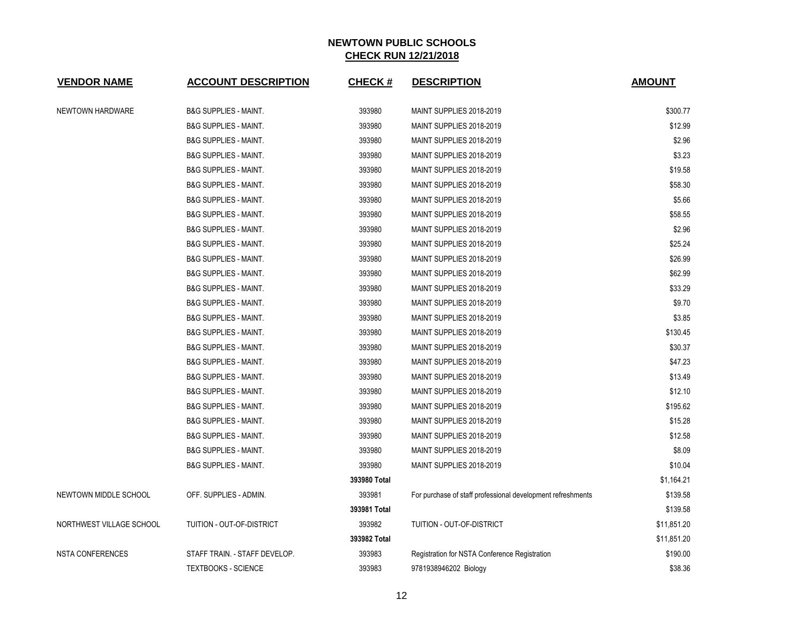| <b>VENDOR NAME</b>       | <b>ACCOUNT DESCRIPTION</b>       | <b>CHECK#</b> | <b>DESCRIPTION</b>                                          | <b>AMOUNT</b> |
|--------------------------|----------------------------------|---------------|-------------------------------------------------------------|---------------|
| <b>NEWTOWN HARDWARE</b>  | <b>B&amp;G SUPPLIES - MAINT.</b> | 393980        | MAINT SUPPLIES 2018-2019                                    | \$300.77      |
|                          | <b>B&amp;G SUPPLIES - MAINT.</b> | 393980        | MAINT SUPPLIES 2018-2019                                    | \$12.99       |
|                          | <b>B&amp;G SUPPLIES - MAINT.</b> | 393980        | MAINT SUPPLIES 2018-2019                                    | \$2.96        |
|                          | <b>B&amp;G SUPPLIES - MAINT.</b> | 393980        | MAINT SUPPLIES 2018-2019                                    | \$3.23        |
|                          | <b>B&amp;G SUPPLIES - MAINT.</b> | 393980        | MAINT SUPPLIES 2018-2019                                    | \$19.58       |
|                          | <b>B&amp;G SUPPLIES - MAINT.</b> | 393980        | MAINT SUPPLIES 2018-2019                                    | \$58.30       |
|                          | <b>B&amp;G SUPPLIES - MAINT.</b> | 393980        | MAINT SUPPLIES 2018-2019                                    | \$5.66        |
|                          | <b>B&amp;G SUPPLIES - MAINT.</b> | 393980        | MAINT SUPPLIES 2018-2019                                    | \$58.55       |
|                          | <b>B&amp;G SUPPLIES - MAINT.</b> | 393980        | MAINT SUPPLIES 2018-2019                                    | \$2.96        |
|                          | <b>B&amp;G SUPPLIES - MAINT.</b> | 393980        | MAINT SUPPLIES 2018-2019                                    | \$25.24       |
|                          | <b>B&amp;G SUPPLIES - MAINT.</b> | 393980        | MAINT SUPPLIES 2018-2019                                    | \$26.99       |
|                          | <b>B&amp;G SUPPLIES - MAINT.</b> | 393980        | MAINT SUPPLIES 2018-2019                                    | \$62.99       |
|                          | <b>B&amp;G SUPPLIES - MAINT.</b> | 393980        | MAINT SUPPLIES 2018-2019                                    | \$33.29       |
|                          | <b>B&amp;G SUPPLIES - MAINT.</b> | 393980        | MAINT SUPPLIES 2018-2019                                    | \$9.70        |
|                          | <b>B&amp;G SUPPLIES - MAINT.</b> | 393980        | MAINT SUPPLIES 2018-2019                                    | \$3.85        |
|                          | <b>B&amp;G SUPPLIES - MAINT.</b> | 393980        | MAINT SUPPLIES 2018-2019                                    | \$130.45      |
|                          | <b>B&amp;G SUPPLIES - MAINT.</b> | 393980        | MAINT SUPPLIES 2018-2019                                    | \$30.37       |
|                          | <b>B&amp;G SUPPLIES - MAINT.</b> | 393980        | MAINT SUPPLIES 2018-2019                                    | \$47.23       |
|                          | <b>B&amp;G SUPPLIES - MAINT.</b> | 393980        | MAINT SUPPLIES 2018-2019                                    | \$13.49       |
|                          | <b>B&amp;G SUPPLIES - MAINT.</b> | 393980        | MAINT SUPPLIES 2018-2019                                    | \$12.10       |
|                          | <b>B&amp;G SUPPLIES - MAINT.</b> | 393980        | MAINT SUPPLIES 2018-2019                                    | \$195.62      |
|                          | <b>B&amp;G SUPPLIES - MAINT.</b> | 393980        | MAINT SUPPLIES 2018-2019                                    | \$15.28       |
|                          | B&G SUPPLIES - MAINT.            | 393980        | MAINT SUPPLIES 2018-2019                                    | \$12.58       |
|                          | <b>B&amp;G SUPPLIES - MAINT.</b> | 393980        | MAINT SUPPLIES 2018-2019                                    | \$8.09        |
|                          | <b>B&amp;G SUPPLIES - MAINT.</b> | 393980        | MAINT SUPPLIES 2018-2019                                    | \$10.04       |
|                          |                                  | 393980 Total  |                                                             | \$1,164.21    |
| NEWTOWN MIDDLE SCHOOL    | OFF. SUPPLIES - ADMIN.           | 393981        | For purchase of staff professional development refreshments | \$139.58      |
|                          |                                  | 393981 Total  |                                                             | \$139.58      |
| NORTHWEST VILLAGE SCHOOL | TUITION - OUT-OF-DISTRICT        | 393982        | TUITION - OUT-OF-DISTRICT                                   | \$11,851.20   |
|                          |                                  | 393982 Total  |                                                             | \$11,851.20   |
| <b>NSTA CONFERENCES</b>  | STAFF TRAIN. - STAFF DEVELOP.    | 393983        | Registration for NSTA Conference Registration               | \$190.00      |
|                          | <b>TEXTBOOKS - SCIENCE</b>       | 393983        | 9781938946202 Biology                                       | \$38.36       |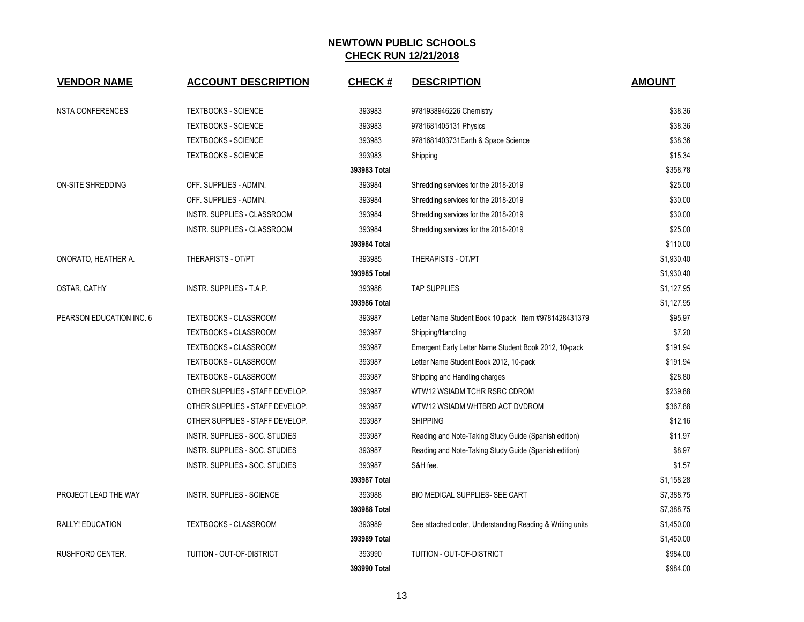| <b>VENDOR NAME</b>       | <b>ACCOUNT DESCRIPTION</b>      | <b>CHECK#</b> | <b>DESCRIPTION</b>                                        | <b>AMOUNT</b> |
|--------------------------|---------------------------------|---------------|-----------------------------------------------------------|---------------|
| <b>NSTA CONFERENCES</b>  | <b>TEXTBOOKS - SCIENCE</b>      | 393983        | 9781938946226 Chemistry                                   | \$38.36       |
|                          | TEXTBOOKS - SCIENCE             | 393983        | 9781681405131 Physics                                     | \$38.36       |
|                          | <b>TEXTBOOKS - SCIENCE</b>      | 393983        | 9781681403731Earth & Space Science                        | \$38.36       |
|                          | <b>TEXTBOOKS - SCIENCE</b>      | 393983        | Shipping                                                  | \$15.34       |
|                          |                                 | 393983 Total  |                                                           | \$358.78      |
| ON-SITE SHREDDING        | OFF. SUPPLIES - ADMIN.          | 393984        | Shredding services for the 2018-2019                      | \$25.00       |
|                          | OFF. SUPPLIES - ADMIN.          | 393984        | Shredding services for the 2018-2019                      | \$30.00       |
|                          | INSTR. SUPPLIES - CLASSROOM     | 393984        | Shredding services for the 2018-2019                      | \$30.00       |
|                          | INSTR. SUPPLIES - CLASSROOM     | 393984        | Shredding services for the 2018-2019                      | \$25.00       |
|                          |                                 | 393984 Total  |                                                           | \$110.00      |
| ONORATO, HEATHER A.      | THERAPISTS - OT/PT              | 393985        | THERAPISTS - OT/PT                                        | \$1,930.40    |
|                          |                                 | 393985 Total  |                                                           | \$1,930.40    |
| OSTAR, CATHY             | INSTR. SUPPLIES - T.A.P.        | 393986        | <b>TAP SUPPLIES</b>                                       | \$1,127.95    |
|                          |                                 | 393986 Total  |                                                           | \$1,127.95    |
| PEARSON EDUCATION INC. 6 | <b>TEXTBOOKS - CLASSROOM</b>    | 393987        | Letter Name Student Book 10 pack Item #9781428431379      | \$95.97       |
|                          | <b>TEXTBOOKS - CLASSROOM</b>    | 393987        | Shipping/Handling                                         | \$7.20        |
|                          | TEXTBOOKS - CLASSROOM           | 393987        | Emergent Early Letter Name Student Book 2012, 10-pack     | \$191.94      |
|                          | <b>TEXTBOOKS - CLASSROOM</b>    | 393987        | Letter Name Student Book 2012, 10-pack                    | \$191.94      |
|                          | <b>TEXTBOOKS - CLASSROOM</b>    | 393987        | Shipping and Handling charges                             | \$28.80       |
|                          | OTHER SUPPLIES - STAFF DEVELOP. | 393987        | WTW12 WSIADM TCHR RSRC CDROM                              | \$239.88      |
|                          | OTHER SUPPLIES - STAFF DEVELOP. | 393987        | WTW12 WSIADM WHTBRD ACT DVDROM                            | \$367.88      |
|                          | OTHER SUPPLIES - STAFF DEVELOP. | 393987        | <b>SHIPPING</b>                                           | \$12.16       |
|                          | INSTR. SUPPLIES - SOC. STUDIES  | 393987        | Reading and Note-Taking Study Guide (Spanish edition)     | \$11.97       |
|                          | INSTR. SUPPLIES - SOC. STUDIES  | 393987        | Reading and Note-Taking Study Guide (Spanish edition)     | \$8.97        |
|                          | INSTR. SUPPLIES - SOC. STUDIES  | 393987        | S&H fee.                                                  | \$1.57        |
|                          |                                 | 393987 Total  |                                                           | \$1,158.28    |
| PROJECT LEAD THE WAY     | INSTR. SUPPLIES - SCIENCE       | 393988        | BIO MEDICAL SUPPLIES- SEE CART                            | \$7,388.75    |
|                          |                                 | 393988 Total  |                                                           | \$7,388.75    |
| RALLY! EDUCATION         | <b>TEXTBOOKS - CLASSROOM</b>    | 393989        | See attached order, Understanding Reading & Writing units | \$1,450.00    |
|                          |                                 | 393989 Total  |                                                           | \$1,450.00    |
| RUSHFORD CENTER.         | TUITION - OUT-OF-DISTRICT       | 393990        | TUITION - OUT-OF-DISTRICT                                 | \$984.00      |
|                          |                                 | 393990 Total  |                                                           | \$984.00      |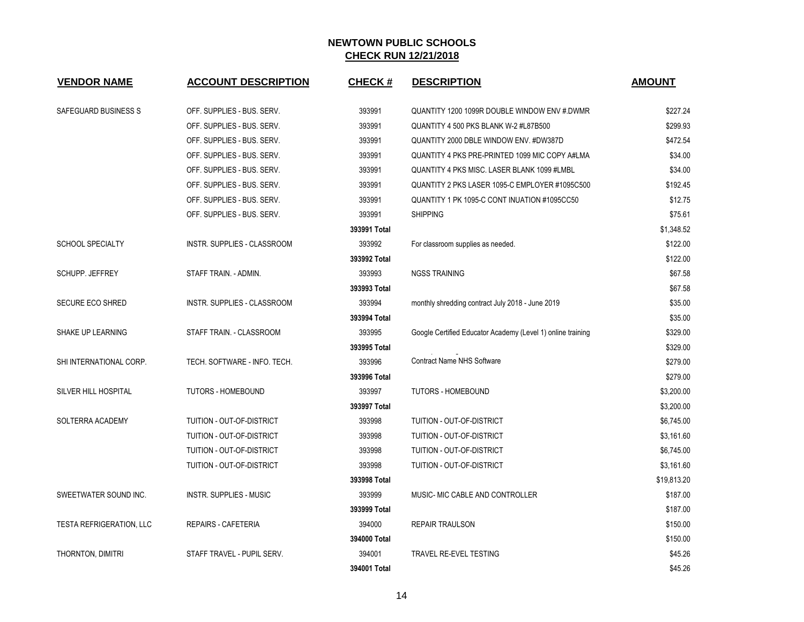| <b>VENDOR NAME</b>              | <b>ACCOUNT DESCRIPTION</b>         | <b>CHECK#</b> | <b>DESCRIPTION</b>                                          | <b>AMOUNT</b> |
|---------------------------------|------------------------------------|---------------|-------------------------------------------------------------|---------------|
|                                 |                                    |               |                                                             |               |
| SAFEGUARD BUSINESS S            | OFF. SUPPLIES - BUS. SERV.         | 393991        | QUANTITY 1200 1099R DOUBLE WINDOW ENV # DWMR                | \$227.24      |
|                                 | OFF. SUPPLIES - BUS. SERV.         | 393991        | QUANTITY 4 500 PKS BLANK W-2 #L87B500                       | \$299.93      |
|                                 | OFF. SUPPLIES - BUS. SERV.         | 393991        | QUANTITY 2000 DBLE WINDOW ENV. #DW387D                      | \$472.54      |
|                                 | OFF. SUPPLIES - BUS. SERV.         | 393991        | QUANTITY 4 PKS PRE-PRINTED 1099 MIC COPY A#LMA              | \$34.00       |
|                                 | OFF. SUPPLIES - BUS. SERV.         | 393991        | QUANTITY 4 PKS MISC. LASER BLANK 1099 #LMBL                 | \$34.00       |
|                                 | OFF. SUPPLIES - BUS. SERV.         | 393991        | QUANTITY 2 PKS LASER 1095-C EMPLOYER #1095C500              | \$192.45      |
|                                 | OFF. SUPPLIES - BUS. SERV.         | 393991        | QUANTITY 1 PK 1095-C CONT INUATION #1095CC50                | \$12.75       |
|                                 | OFF. SUPPLIES - BUS. SERV.         | 393991        | <b>SHIPPING</b>                                             | \$75.61       |
|                                 |                                    | 393991 Total  |                                                             | \$1,348.52    |
| <b>SCHOOL SPECIALTY</b>         | INSTR. SUPPLIES - CLASSROOM        | 393992        | For classroom supplies as needed.                           | \$122.00      |
|                                 |                                    | 393992 Total  |                                                             | \$122.00      |
| SCHUPP. JEFFREY                 | STAFF TRAIN. - ADMIN.              | 393993        | <b>NGSS TRAINING</b>                                        | \$67.58       |
|                                 |                                    | 393993 Total  |                                                             | \$67.58       |
| SECURE ECO SHRED                | <b>INSTR. SUPPLIES - CLASSROOM</b> | 393994        | monthly shredding contract July 2018 - June 2019            | \$35.00       |
|                                 |                                    | 393994 Total  |                                                             | \$35.00       |
| SHAKE UP LEARNING               | STAFF TRAIN. - CLASSROOM           | 393995        | Google Certified Educator Academy (Level 1) online training | \$329.00      |
|                                 |                                    | 393995 Total  |                                                             | \$329.00      |
| SHI INTERNATIONAL CORP.         | TECH. SOFTWARE - INFO. TECH.       | 393996        | <b>Contract Name NHS Software</b>                           | \$279.00      |
|                                 |                                    | 393996 Total  |                                                             | \$279.00      |
| <b>SILVER HILL HOSPITAL</b>     | <b>TUTORS - HOMEBOUND</b>          | 393997        | <b>TUTORS - HOMEBOUND</b>                                   | \$3,200.00    |
|                                 |                                    | 393997 Total  |                                                             | \$3,200.00    |
| SOLTERRA ACADEMY                | TUITION - OUT-OF-DISTRICT          | 393998        | TUITION - OUT-OF-DISTRICT                                   | \$6,745.00    |
|                                 | TUITION - OUT-OF-DISTRICT          | 393998        | TUITION - OUT-OF-DISTRICT                                   | \$3,161.60    |
|                                 | TUITION - OUT-OF-DISTRICT          | 393998        | TUITION - OUT-OF-DISTRICT                                   | \$6,745.00    |
|                                 | TUITION - OUT-OF-DISTRICT          | 393998        | TUITION - OUT-OF-DISTRICT                                   | \$3,161.60    |
|                                 |                                    | 393998 Total  |                                                             | \$19,813.20   |
| SWEETWATER SOUND INC.           | <b>INSTR. SUPPLIES - MUSIC</b>     | 393999        | MUSIC- MIC CABLE AND CONTROLLER                             | \$187.00      |
|                                 |                                    | 393999 Total  |                                                             | \$187.00      |
| <b>TESTA REFRIGERATION, LLC</b> | REPAIRS - CAFETERIA                | 394000        | <b>REPAIR TRAULSON</b>                                      | \$150.00      |
|                                 |                                    | 394000 Total  |                                                             | \$150.00      |
| THORNTON, DIMITRI               | STAFF TRAVEL - PUPIL SERV.         | 394001        | <b>TRAVEL RE-EVEL TESTING</b>                               | \$45.26       |
|                                 |                                    | 394001 Total  |                                                             | \$45.26       |